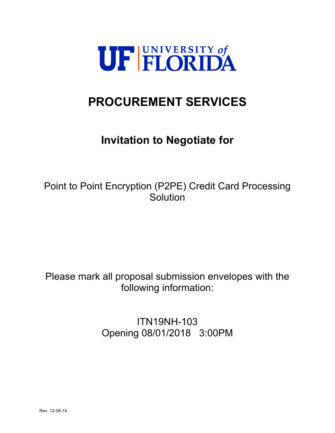

# **PROCUREMENT SERVICES**

# **Invitation to Negotiate for**

Point to Point Encryption (P2PE) Credit Card Processing **Solution** 

Please mark all proposal submission envelopes with the following information:

> ITN19NH-103 Opening 08/01/2018 3:00PM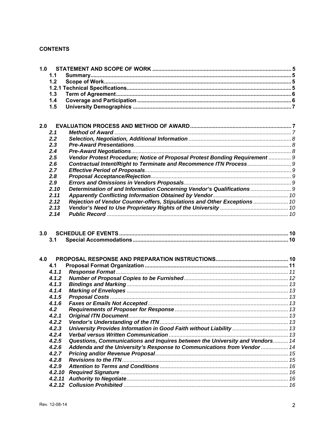# **CONTENTS**

| 1.0 |        |                                                                              |  |
|-----|--------|------------------------------------------------------------------------------|--|
|     | 1.1    |                                                                              |  |
|     | 1.2    |                                                                              |  |
|     |        |                                                                              |  |
|     | 1.3    |                                                                              |  |
|     | 1.4    |                                                                              |  |
|     | 1.5    |                                                                              |  |
|     |        |                                                                              |  |
|     |        |                                                                              |  |
| 2.0 |        |                                                                              |  |
|     | 2.1    |                                                                              |  |
|     | 2.2    |                                                                              |  |
|     | 2.3    |                                                                              |  |
|     | 2.4    |                                                                              |  |
|     | 2.5    | Vendor Protest Procedure; Notice of Proposal Protest Bonding Requirement  9  |  |
|     | 2.6    | Contractual Intent/Right to Terminate and Recommence ITN Process 9           |  |
|     | 2.7    |                                                                              |  |
|     | 2.8    |                                                                              |  |
|     | 2.9    |                                                                              |  |
|     | 2.10   |                                                                              |  |
|     | 2.11   |                                                                              |  |
|     | 2.12   | Rejection of Vendor Counter-offers, Stipulations and Other Exceptions  10    |  |
|     | 2.13   |                                                                              |  |
|     | 2.14   |                                                                              |  |
|     |        |                                                                              |  |
|     |        |                                                                              |  |
| 3.0 | 3.1    |                                                                              |  |
|     |        |                                                                              |  |
| 4.0 |        |                                                                              |  |
|     | 4.1    |                                                                              |  |
|     | 4.1.1  |                                                                              |  |
|     | 4.1.2  |                                                                              |  |
|     | 4.1.3  |                                                                              |  |
|     | 4.1.4  |                                                                              |  |
|     | 4.1.5  |                                                                              |  |
|     | 4.1.6  |                                                                              |  |
|     | 4.2    |                                                                              |  |
|     | 4.2.1  |                                                                              |  |
|     | 4.2.2  |                                                                              |  |
|     | 4.2.3  | University Provides Information in Good Faith without Liability  13          |  |
|     | 4.2.4  |                                                                              |  |
|     | 4.2.5  | Questions, Communications and Inquires between the University and Vendors 14 |  |
|     | 4.2.6  |                                                                              |  |
|     | 4.2.7  | Addenda and the University's Response to Communications from Vendor  14      |  |
|     | 4.2.8  |                                                                              |  |
|     | 4.2.9  |                                                                              |  |
|     | 4.2.10 |                                                                              |  |
|     | 4.2.11 |                                                                              |  |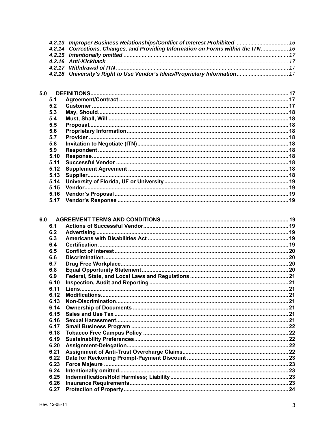| 4.2.13 Improper Business Relationships/Conflict of Interest Prohibited  16        |  |
|-----------------------------------------------------------------------------------|--|
| 4.2.14 Corrections, Changes, and Providing Information on Forms within the ITN 16 |  |
|                                                                                   |  |
|                                                                                   |  |
|                                                                                   |  |
| 4.2.18 University's Right to Use Vendor's Ideas/Proprietary Information 17        |  |

| 5.0  |  |
|------|--|
| 5.1  |  |
| 5.2  |  |
| 5.3  |  |
| 5.4  |  |
| 5.5  |  |
| 5.6  |  |
| 5.7  |  |
| 5.8  |  |
| 5.9  |  |
| 5.10 |  |
| 5.11 |  |
| 5.12 |  |
| 5.13 |  |
| 5.14 |  |
| 5.15 |  |
| 5.16 |  |
| 5.17 |  |

| 6.0 |      |  |
|-----|------|--|
|     | 6.1  |  |
|     | 6.2  |  |
|     | 6.3  |  |
|     | 6.4  |  |
|     | 6.5  |  |
|     | 6.6  |  |
|     | 6.7  |  |
|     | 6.8  |  |
|     | 6.9  |  |
|     | 6.10 |  |
|     | 6.11 |  |
|     | 6.12 |  |
|     | 6.13 |  |
|     | 6.14 |  |
|     | 6.15 |  |
|     | 6.16 |  |
|     | 6.17 |  |
|     | 6.18 |  |
|     | 6.19 |  |
|     | 6.20 |  |
|     | 6.21 |  |
|     | 6.22 |  |
|     | 6.23 |  |
|     | 6.24 |  |
|     | 6.25 |  |
|     | 6.26 |  |
|     | 6.27 |  |
|     |      |  |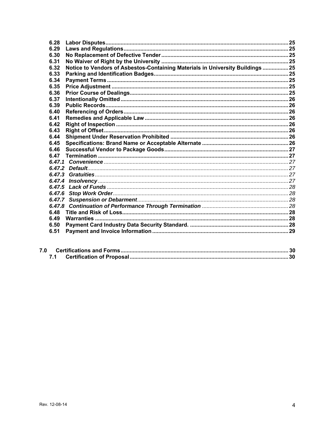| 6.28   |                                                                                |  |
|--------|--------------------------------------------------------------------------------|--|
| 6.29   |                                                                                |  |
| 6.30   |                                                                                |  |
| 6.31   |                                                                                |  |
| 6.32   | Notice to Vendors of Asbestos-Containing Materials in University Buildings  25 |  |
| 6.33   |                                                                                |  |
| 6.34   |                                                                                |  |
| 6.35   |                                                                                |  |
| 6.36   |                                                                                |  |
| 6.37   |                                                                                |  |
| 6.39   |                                                                                |  |
| 6.40   |                                                                                |  |
| 6.41   |                                                                                |  |
| 6.42   |                                                                                |  |
| 6.43   |                                                                                |  |
| 6.44   |                                                                                |  |
| 6.45   |                                                                                |  |
| 6.46   |                                                                                |  |
| 6.47   |                                                                                |  |
|        |                                                                                |  |
|        |                                                                                |  |
| 6.47.3 |                                                                                |  |
|        |                                                                                |  |
|        |                                                                                |  |
|        |                                                                                |  |
|        |                                                                                |  |
|        |                                                                                |  |
| 6.48   |                                                                                |  |
| 6.49   |                                                                                |  |
| 6.50   |                                                                                |  |
| 6.51   |                                                                                |  |
|        |                                                                                |  |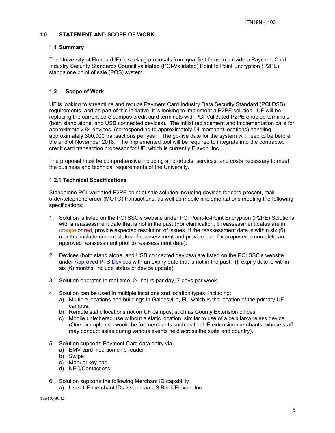## **1.0 STATEMENT AND SCOPE OF WORK**

## **1.1 Summary**

The University of Florida (UF) is seeking proposals from qualified firms to provide a Payment Card Industry Security Standards Council validated (PCI-Validated) Point to Point Encryption (P2PE) standalone point of sale (POS) system.

# **1.2 Scope of Work**

UF is looking to streamline and reduce Payment Card Industry Data Security Standard (PCI DSS) requirements, and as part of this initiative, it is looking to implement a P2PE solution. UF will be replacing the current core campus credit card terminals with PCI-Validated P2PE enabled terminals (both stand alone, and USB connected devices). The initial replacement and implementation calls for approximately 84 devices, (corresponding to approximately 54 merchant locations) handling approximately 300,000 transactions per year. The go-live date for the system will need to be before the end of November 2018. The implemented tool will be required to integrate into the contracted credit card transaction processor for UF, which is currently Elavon, Inc.

The proposal must be comprehensive including all products, services, and costs necessary to meet the business and technical requirements of the University.

## **1.2.1 Technical Specifications**

Standalone PCI-validated P2PE point of sale solution including devices for card-present, mail order/telephone order (MOTO) transactions, as well as mobile implementations meeting the following specifications:

- 1. Solution is listed on the PCI SSC's website under PCI Point-to-Point Encryption (P2PE) Solutions with a reassessment date that is not in the past.(For clarification; If reassessment dates are in orange or red, provide expected resolution of issues. If the reassessment date is within six  $(6)$ months, include current status of reassessment and provide plan for proposer to complete an approved reassessment prior to reassessment date).
- 2. Devices (both stand alone, and USB connected devices) are listed on the PCI SSC's website under Approved PTS Devices with an expiry date that is not in the past. (If expiry date is within six (6) months, include status of device update).
- 3. Solution operates in real time, 24 hours per day, 7 days per week.
- 4. Solution can be used in multiple locations and location types, including:
	- a) Multiple locations and buildings in Gainesville, FL, which is the location of the primary UF campus.
	- b) Remote static locations not on UF campus, such as County Extension offices.
	- c) Mobile untethered use without a static location, similar to use of a cellular/wireless device. (One example use would be for merchants such as the UF extension merchants, whose staff may conduct sales during various events held across the state and country).
- 5. Solution supports Payment Card data entry via
	- a) EMV card insertion chip reader
	- b) Swipe
	- c) Manual key pad
	- d) NFC/Contactless
- 6. Solution supports the following Merchant ID capability
	- a) Uses UF merchant IDs issued via US Bank/Elavon, Inc.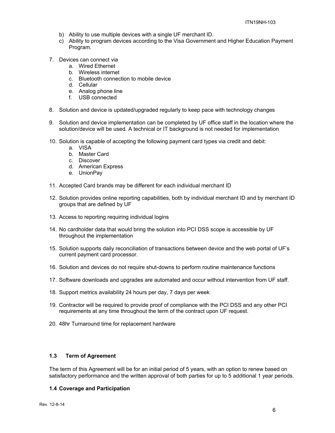- b) Ability to use multiple devices with a single UF merchant ID.
- c) Ability to program devices according to the Visa Government and Higher Education Payment Program.
- 7. Devices can connect via
	- a. Wired Ethernet
	- b. Wireless internet
	- c. Bluetooth connection to mobile device
	- d. Cellular
	- e. Analog phone line
	- f. USB connected
- 8. Solution and device is updated/upgraded regularly to keep pace with technology changes
- 9. Solution and device implementation can be completed by UF office staff in the location where the solution/device will be used. A technical or IT background is not needed for implementation
- 10. Solution is capable of accepting the following payment card types via credit and debit:
	- a. VISA
	- b. Master Card
	- c. Discover
	- d. American Express
	- e. UnionPay
- 11. Accepted Card brands may be different for each individual merchant ID
- 12. Solution provides online reporting capabilities, both by individual merchant ID and by merchant ID groups that are defined by UF
- 13. Access to reporting requiring individual logins
- 14. No cardholder data that would bring the solution into PCI DSS scope is accessible by UF throughout the implementation
- 15. Solution supports daily reconciliation of transactions between device and the web portal of UF's current payment card processor.
- 16. Solution and devices do not require shut-downs to perform routine maintenance functions
- 17. Software downloads and upgrades are automated and occur without intervention from UF staff.
- 18. Support metrics availability 24 hours per day, 7 days per week
- 19. Contractor will be required to provide proof of compliance with the PCI DSS and any other PCI requirements at any time throughout the term of the contract upon UF request.
- 20. 48hr Turnaround time for replacement hardware

#### **1.3 Term of Agreement**

The term of this Agreement will be for an initial period of 5 years, with an option to renew based on satisfactory performance and the written approval of both parties for up to 5 additional 1 year periods.

#### **1.4 Coverage and Participation**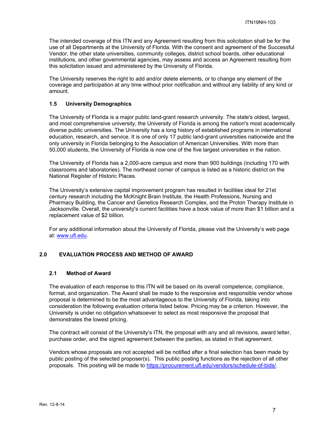The intended coverage of this ITN and any Agreement resulting from this solicitation shall be for the use of all Departments at the University of Florida. With the consent and agreement of the Successful Vendor, the other state universities, community colleges, district school boards, other educational institutions, and other governmental agencies, may assess and access an Agreement resulting from this solicitation issued and administered by the University of Florida.

The University reserves the right to add and/or delete elements, or to change any element of the coverage and participation at any time without prior notification and without any liability of any kind or amount.

#### **1.5 University Demographics**

The University of Florida is a major public land-grant research university. The state's oldest, largest, and most comprehensive university, the University of Florida is among the nation's most academically diverse public universities. The University has a long history of established programs in international education, research, and service. It is one of only 17 public land-grant universities nationwide and the only university in Florida belonging to the Association of American Universities. With more than 50,000 students, the University of Florida is now one of the five largest universities in the nation.

The University of Florida has a 2,000-acre campus and more than 900 buildings (including 170 with classrooms and laboratories). The northeast corner of campus is listed as a historic district on the National Register of Historic Places.

The University's extensive capital improvement program has resulted in facilities ideal for 21st century research including the McKnight Brain Institute, the Health Professions, Nursing and Pharmacy Building, the Cancer and Genetics Research Complex, and the Proton Therapy Institute in Jacksonville. Overall, the university's current facilities have a book value of more than \$1 billion and a replacement value of \$2 billion.

For any additional information about the University of Florida, please visit the University's web page at: www.ufl.edu.

#### **2.0 EVALUATION PROCESS AND METHOD OF AWARD**

#### **2.1 Method of Award**

The evaluation of each response to this ITN will be based on its overall competence, compliance, format, and organization. The Award shall be made to the responsive and responsible vendor whose proposal is determined to be the most advantageous to the University of Florida, taking into consideration the following evaluation criteria listed below. Pricing may be a criterion. However, the University is under no obligation whatsoever to select as most responsive the proposal that demonstrates the lowest pricing.

The contract will consist of the University's ITN, the proposal with any and all revisions, award letter, purchase order, and the signed agreement between the parties, as stated in that agreement.

Vendors whose proposals are not accepted will be notified after a final selection has been made by public posting of the selected proposer(s). This public posting functions as the rejection of all other proposals. This posting will be made to https://procurement.ufl.edu/vendors/schedule-of-bids/.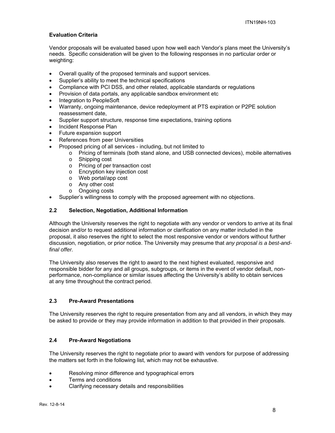# **Evaluation Criteria**

Vendor proposals will be evaluated based upon how well each Vendor's plans meet the University's needs. Specific consideration will be given to the following responses in no particular order or weighting:

- Overall quality of the proposed terminals and support services.
- Supplier's ability to meet the technical specifications
- Compliance with PCI DSS, and other related, applicable standards or regulations
- Provision of data portals, any applicable sandbox environment etc
- Integration to PeopleSoft
- Warranty, ongoing maintenance, device redeployment at PTS expiration or P2PE solution reassessment date,
- Supplier support structure, response time expectations, training options
- Incident Response Plan
- Future expansion support
- References from peer Universities
- Proposed pricing of all services including, but not limited to
	- o Pricing of terminals (both stand alone, and USB connected devices), mobile alternatives
	- o Shipping cost
	- o Pricing of per transaction cost
	- o Encryption key injection cost
	- o Web portal/app cost
	- o Any other cost
	- o Ongoing costs
- Supplier's willingness to comply with the proposed agreement with no objections.

## **2.2 Selection, Negotiation, Additional Information**

Although the University reserves the right to negotiate with any vendor or vendors to arrive at its final decision and/or to request additional information or clarification on any matter included in the proposal, it also reserves the right to select the most responsive vendor or vendors without further discussion, negotiation, or prior notice. The University may presume that *any proposal is a best-andfinal offer.* 

The University also reserves the right to award to the next highest evaluated, responsive and responsible bidder for any and all groups, subgroups, or items in the event of vendor default, nonperformance, non-compliance or similar issues affecting the University's ability to obtain services at any time throughout the contract period.

# **2.3 Pre-Award Presentations**

The University reserves the right to require presentation from any and all vendors, in which they may be asked to provide or they may provide information in addition to that provided in their proposals.

## **2.4 Pre-Award Negotiations**

The University reserves the right to negotiate prior to award with vendors for purpose of addressing the matters set forth in the following list, which may not be exhaustive.

- Resolving minor difference and typographical errors
- Terms and conditions
- Clarifying necessary details and responsibilities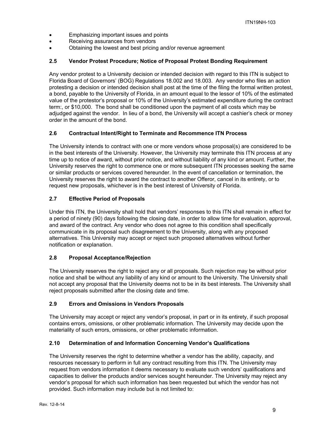- Emphasizing important issues and points
- Receiving assurances from vendors
- Obtaining the lowest and best pricing and/or revenue agreement

## **2.5 Vendor Protest Procedure; Notice of Proposal Protest Bonding Requirement**

Any vendor protest to a University decision or intended decision with regard to this ITN is subject to Florida Board of Governors' (BOG) Regulations 18.002 and 18.003. Any vendor who files an action protesting a decision or intended decision shall post at the time of the filing the formal written protest, a bond, payable to the University of Florida, in an amount equal to the lessor of 10% of the estimated value of the protestor's proposal or 10% of the University's estimated expenditure during the contract term:, or \$10,000. The bond shall be conditioned upon the payment of all costs which may be adjudged against the vendor. In lieu of a bond, the University will accept a cashier's check or money order in the amount of the bond.

# **2.6 Contractual Intent/Right to Terminate and Recommence ITN Process**

The University intends to contract with one or more vendors whose proposal(s) are considered to be in the best interests of the University. However, the University may terminate this ITN process at any time up to notice of award, without prior notice, and without liability of any kind or amount. Further, the University reserves the right to commence one or more subsequent ITN processes seeking the same or similar products or services covered hereunder. In the event of cancellation or termination, the University reserves the right to award the contract to another Offeror, cancel in its entirety, or to request new proposals, whichever is in the best interest of University of Florida.

# **2.7 Effective Period of Proposals**

Under this ITN, the University shall hold that vendors' responses to this ITN shall remain in effect for a period of ninety (90) days following the closing date, in order to allow time for evaluation, approval, and award of the contract. Any vendor who does not agree to this condition shall specifically communicate in its proposal such disagreement to the University, along with any proposed alternatives. This University may accept or reject such proposed alternatives without further notification or explanation.

# **2.8 Proposal Acceptance/Rejection**

The University reserves the right to reject any or all proposals. Such rejection may be without prior notice and shall be without any liability of any kind or amount to the University. The University shall not accept any proposal that the University deems not to be in its best interests. The University shall reject proposals submitted after the closing date and time.

# **2.9 Errors and Omissions in Vendors Proposals**

The University may accept or reject any vendor's proposal, in part or in its entirety, if such proposal contains errors, omissions, or other problematic information. The University may decide upon the materiality of such errors, omissions, or other problematic information.

#### **2.10 Determination of and Information Concerning Vendor's Qualifications**

The University reserves the right to determine whether a vendor has the ability, capacity, and resources necessary to perform in full any contract resulting from this ITN. The University may request from vendors information it deems necessary to evaluate such vendors' qualifications and capacities to deliver the products and/or services sought hereunder. The University may reject any vendor's proposal for which such information has been requested but which the vendor has not provided. Such information may include but is not limited to: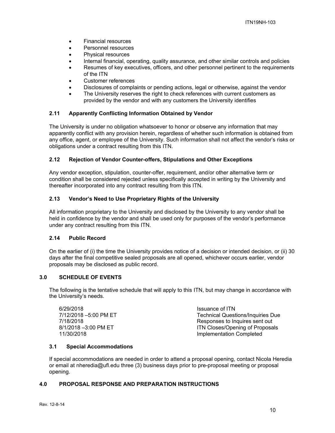- Financial resources
- Personnel resources
- Physical resources
- Internal financial, operating, quality assurance, and other similar controls and policies
- Resumes of key executives, officers, and other personnel pertinent to the requirements of the ITN
- Customer references
- Disclosures of complaints or pending actions, legal or otherwise, against the vendor
- The University reserves the right to check references with current customers as provided by the vendor and with any customers the University identifies

## **2.11 Apparently Conflicting Information Obtained by Vendor**

The University is under no obligation whatsoever to honor or observe any information that may apparently conflict with any provision herein, regardless of whether such information is obtained from any office, agent, or employee of the University. Such information shall not affect the vendor's risks or obligations under a contract resulting from this ITN.

## **2.12 Rejection of Vendor Counter-offers, Stipulations and Other Exceptions**

Any vendor exception, stipulation, counter-offer, requirement, and/or other alternative term or condition shall be considered rejected unless specifically accepted in writing by the University and thereafter incorporated into any contract resulting from this ITN.

## **2.13 Vendor's Need to Use Proprietary Rights of the University**

All information proprietary to the University and disclosed by the University to any vendor shall be held in confidence by the vendor and shall be used only for purposes of the vendor's performance under any contract resulting from this ITN.

#### **2.14 Public Record**

On the earlier of (i) the time the University provides notice of a decision or intended decision, or (ii) 30 days after the final competitive sealed proposals are all opened, whichever occurs earlier, vendor proposals may be disclosed as public record.

## **3.0 SCHEDULE OF EVENTS**

The following is the tentative schedule that will apply to this ITN, but may change in accordance with the University's needs.

| 6/29/2018             | Issuance of ITN                          |
|-----------------------|------------------------------------------|
| 7/12/2018 -5:00 PM ET | <b>Technical Questions/Inquiries Due</b> |
| 7/18/2018             | Responses to Inquires sent out           |
| 8/1/2018 -3:00 PM ET  | ITN Closes/Opening of Proposals          |
| 11/30/2018            | Implementation Completed                 |

#### **3.1 Special Accommodations**

If special accommodations are needed in order to attend a proposal opening, contact Nicola Heredia or email at nheredia@ufl.edu three (3) business days prior to pre-proposal meeting or proposal opening.

#### **4.0 PROPOSAL RESPONSE AND PREPARATION INSTRUCTIONS**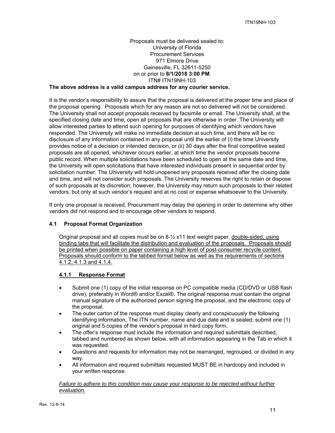# Proposals must be delivered sealed to: University of Florida Procurement Services 971 Elmore Drive Gainesville, FL 32611-5250 on or prior to **8/1/2018 3:00 PM**. ITN# ITN19NH-103

# **The above address is a valid campus address for any courier service.**

It is the vendor's responsibility to assure that the proposal is delivered at the proper time and place of the proposal opening. Proposals which for any reason are not so delivered will not be considered. The University shall not accept proposals received by facsimile or email. The University shall, at the specified closing date and time, open all proposals that are otherwise in order. The University will allow interested parties to attend such opening for purposes of identifying which vendors have responded. The University will make no immediate decision at such time, and there will be no disclosure of any information contained in any proposal until the earlier of (i) the time University provides notice of a decision or intended decision, or (ii) 30 days after the final competitive sealed proposals are all opened, whichever occurs earlier, at which time the vendor proposals become public record. When multiple solicitations have been scheduled to open at the same date and time, the University will open solicitations that have interested individuals present in sequential order by solicitation number. The University will hold unopened any proposals received after the closing date and time, and will not consider such proposals. The University reserves the right to retain or dispose of such proposals at its discretion; however, the University may return such proposals to their related vendors, but only at such vendor's request and at no cost or expense whatsoever to the University.

If only one proposal is received, Procurement may delay the opening in order to determine why other vendors did not respond and to encourage other vendors to respond.

#### **4.1 Proposal Format Organization**

Original proposal and all copies must be on 8-½ x11 text weight paper, double-sided, using binding tabs that will facilitate the distribution and evaluation of the proposals. Proposals should be printed when possible on paper containing a high level of post-consumer recycle content. Proposals should conform to the tabbed format below as well as the requirements of sections 4.1.2, 4.1.3 and 4.1.4.

#### **4.1.1 Response Format**

- Submit one (1) copy of the initial response on PC compatible media (CD/DVD or USB flash drive), preferably in Word® and/or Excel®. The original response must contain the original manual signature of the authorized person signing the proposal, and the electronic copy of the proposal.
- The outer carton of the response must display clearly and conspicuously the following identifying information, The ITN number, name and due date and is sealed; submit one (1) original and 5 copies of the vendor's proposal in hard copy form.
- The offer's response must include the information and required submittals described, tabbed and numbered as shown below, with all information appearing in the Tab in which it was requested.
- Questions and requests for information may not be rearranged, regrouped, or divided in any way.
- All information and required submittals requested MUST BE in hardcopy and included in your written response.

*Failure to adhere to this condition may cause your response to be rejected without further evaluation.*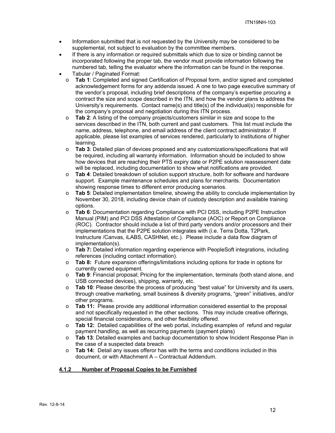- Information submitted that is not requested by the University may be considered to be supplemental, not subject to evaluation by the committee members.
- If there is any information or required submittals which due to size or binding cannot be incorporated following the proper tab, the vendor must provide information following the numbered tab, telling the evaluator where the information can be found in the response.
- Tabular / Paginated Format:
	- o **Tab 1**: Completed and signed Certification of Proposal form, and/or signed and completed acknowledgement forms for any addenda issued. A one to two page executive summary of the vendor's proposal, including brief descriptions of the company's expertise procuring a contract the size and scope described in the ITN, and how the vendor plans to address the University's requirements. Contact name(s) and title(s) of the individual(s) responsible for the company's proposal and negotiation during this ITN process.
	- o **Tab 2**: A listing of the company projects/customers similar in size and scope to the services described in the ITN, both current and past customers. This list must include the name, address, telephone, and email address of the client contract administrator. If applicable, please list examples of services rendered, particularly to institutions of higher learning.
	- o **Tab 3**: Detailed plan of devices proposed and any customizations/specifications that will be required, including all warranty information. Information should be included to show how devices that are reaching their PTS expiry date or P2PE solution reassessment date will be replaced, including documentation to show what notifications are provided.
	- o **Tab 4**: Detailed breakdown of solution support structure, both for software and hardware support. Example maintenance schedules and plans for merchants. Documentation showing response times to different error producing scenarios.
	- o **Tab 5**: Detailed implementation timeline, showing the ability to conclude implementation by November 30, 2018, including device chain of custody description and available training options.
	- o **Tab 6**: Documentation regarding Compliance with PCI DSS, including P2PE Instruction Manual (PIM) and PCI DSS Attestation of Compliance (AOC) or Report on Compliance (ROC). Contractor should include a list of third party vendors and/or processors and their implementations that the P2PE solution integrates with (i.e. Terra Dotta, T2Park, Instructure /Canvas, iLABS, CASHNet, etc.). Please include a data flow diagram of implementation(s).
	- o **Tab 7:** Detailed information regarding experience with PeopleSoft integrations, including references (including contact information).
	- o **Tab 8:** Future expansion offerings/limitations including options for trade in options for currently owned equipment.
	- o **Tab 9**: Financial proposal; Pricing for the implementation, terminals (both stand alone, and USB connected devices), shipping, warranty, etc.
	- o **Tab 10**: Please describe the process of producing "best value" for University and its users, through creative marketing, small business & diversity programs, "green" initiatives, and/or other programs.
	- o **Tab 11:** Please provide any additional information considered essential to the proposal and not specifically requested in the other sections. This may include creative offerings, special financial considerations, and other flexibility offered.
	- o **Tab 12:** Detailed capabilities of the web portal, including examples of refund and regular payment handling, as well as recurring payments (payment plans)
	- o **Tab 13**: Detailed examples and backup documentation to show Incident Response Plan in the case of a suspected data breach
	- o **Tab 14:** Detail any issues offeror has with the terms and conditions included in this document, or with Attachment A – Contractual Addendum.

#### **4.1.2 Number of Proposal Copies to be Furnished**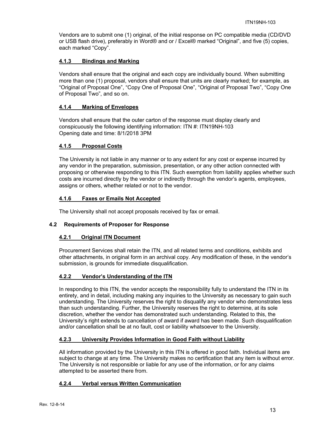Vendors are to submit one (1) original, of the initial response on PC compatible media (CD/DVD or USB flash drive), preferably in Word® and or / Excel® marked "Original", and five (5) copies, each marked "Copy".

## **4.1.3 Bindings and Marking**

Vendors shall ensure that the original and each copy are individually bound. When submitting more than one (1) proposal, vendors shall ensure that units are clearly marked; for example, as "Original of Proposal One", "Copy One of Proposal One", "Original of Proposal Two", "Copy One of Proposal Two", and so on.

## **4.1.4 Marking of Envelopes**

Vendors shall ensure that the outer carton of the response must display clearly and conspicuously the following identifying information: ITN #: ITN19NH-103 Opening date and time: 8/1/2018 3PM

## **4.1.5 Proposal Costs**

The University is not liable in any manner or to any extent for any cost or expense incurred by any vendor in the preparation, submission, presentation, or any other action connected with proposing or otherwise responding to this ITN. Such exemption from liability applies whether such costs are incurred directly by the vendor or indirectly through the vendor's agents, employees, assigns or others, whether related or not to the vendor.

## **4.1.6 Faxes or Emails Not Accepted**

The University shall not accept proposals received by fax or email.

#### **4.2 Requirements of Proposer for Response**

# **4.2.1 Original ITN Document**

Procurement Services shall retain the ITN, and all related terms and conditions, exhibits and other attachments, in original form in an archival copy. Any modification of these, in the vendor's submission, is grounds for immediate disqualification.

# **4.2.2 Vendor's Understanding of the ITN**

In responding to this ITN, the vendor accepts the responsibility fully to understand the ITN in its entirety, and in detail, including making any inquiries to the University as necessary to gain such understanding. The University reserves the right to disqualify any vendor who demonstrates less than such understanding. Further, the University reserves the right to determine, at its sole discretion, whether the vendor has demonstrated such understanding. Related to this, the University's right extends to cancellation of award if award has been made. Such disqualification and/or cancellation shall be at no fault, cost or liability whatsoever to the University.

# **4.2.3 University Provides Information in Good Faith without Liability**

All information provided by the University in this ITN is offered in good faith. Individual items are subject to change at any time. The University makes no certification that any item is without error. The University is not responsible or liable for any use of the information, or for any claims attempted to be asserted there from.

# **4.2.4 Verbal versus Written Communication**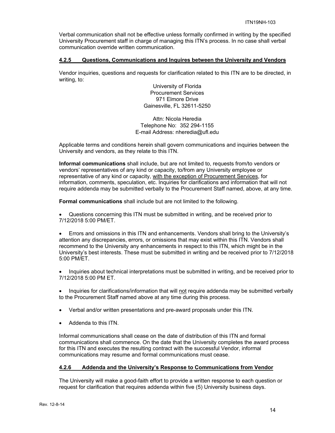Verbal communication shall not be effective unless formally confirmed in writing by the specified University Procurement staff in charge of managing this ITN's process. In no case shall verbal communication override written communication.

## **4.2.5 Questions, Communications and Inquires between the University and Vendors**

Vendor inquiries, questions and requests for clarification related to this ITN are to be directed, in writing, to:

> University of Florida Procurement Services 971 Elmore Drive Gainesville, FL 32611-5250

Attn: Nicola Heredia Telephone No: 352 294-1155 E-mail Address: nheredia@ufl.edu

Applicable terms and conditions herein shall govern communications and inquiries between the University and vendors, as they relate to this ITN.

**Informal communications** shall include, but are not limited to, requests from/to vendors or vendors' representatives of any kind or capacity, to/from any University employee or representative of any kind or capacity, with the exception of Procurement Services, for information, comments, speculation, etc. Inquiries for clarifications and information that will not require addenda may be submitted verbally to the Procurement Staff named, above, at any time.

**Formal communications** shall include but are not limited to the following.

 Questions concerning this ITN must be submitted in writing, and be received prior to 7/12/2018 5:00 PM/ET.

 Errors and omissions in this ITN and enhancements. Vendors shall bring to the University's attention any discrepancies, errors, or omissions that may exist within this ITN. Vendors shall recommend to the University any enhancements in respect to this ITN, which might be in the University's best interests. These must be submitted in writing and be received prior to 7/12/2018 5:00 PM/ET.

 Inquiries about technical interpretations must be submitted in writing, and be received prior to 7/12/2018 5:00 PM ET.

• Inquiries for clarifications/information that will not require addenda may be submitted verbally to the Procurement Staff named above at any time during this process.

- Verbal and/or written presentations and pre-award proposals under this ITN.
- Addenda to this ITN.

Informal communications shall cease on the date of distribution of this ITN and formal communications shall commence. On the date that the University completes the award process for this ITN and executes the resulting contract with the successful Vendor, informal communications may resume and formal communications must cease.

#### **4.2.6 Addenda and the University's Response to Communications from Vendor**

The University will make a good-faith effort to provide a written response to each question or request for clarification that requires addenda within five (5) University business days.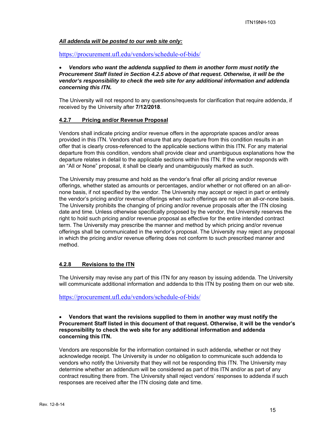## *All addenda will be posted to our web site only:*

https://procurement.ufl.edu/vendors/schedule-of-bids/

## *Vendors who want the addenda supplied to them in another form must notify the Procurement Staff listed in Section 4.2.5 above of that request. Otherwise, it will be the vendor's responsibility to check the web site for any additional information and addenda concerning this ITN.*

The University will not respond to any questions/requests for clarification that require addenda, if received by the University after **7/12/2018**.

#### **4.2.7 Pricing and/or Revenue Proposal**

Vendors shall indicate pricing and/or revenue offers in the appropriate spaces and/or areas provided in this ITN. Vendors shall ensure that any departure from this condition results in an offer that is clearly cross-referenced to the applicable sections within this ITN. For any material departure from this condition, vendors shall provide clear and unambiguous explanations how the departure relates in detail to the applicable sections within this ITN. If the vendor responds with an "All or None" proposal, it shall be clearly and unambiguously marked as such.

The University may presume and hold as the vendor's final offer all pricing and/or revenue offerings, whether stated as amounts or percentages, and/or whether or not offered on an all-ornone basis, if not specified by the vendor. The University may accept or reject in part or entirely the vendor's pricing and/or revenue offerings when such offerings are not on an all-or-none basis. The University prohibits the changing of pricing and/or revenue proposals after the ITN closing date and time. Unless otherwise specifically proposed by the vendor, the University reserves the right to hold such pricing and/or revenue proposal as effective for the entire intended contract term. The University may prescribe the manner and method by which pricing and/or revenue offerings shall be communicated in the vendor's proposal. The University may reject any proposal in which the pricing and/or revenue offering does not conform to such prescribed manner and method.

## **4.2.8 Revisions to the ITN**

The University may revise any part of this ITN for any reason by issuing addenda. The University will communicate additional information and addenda to this ITN by posting them on our web site.

#### https://procurement.ufl.edu/vendors/schedule-of-bids/

#### **Vendors that want the revisions supplied to them in another way must notify the Procurement Staff listed in this document of that request. Otherwise, it will be the vendor's responsibility to check the web site for any additional information and addenda concerning this ITN.**

Vendors are responsible for the information contained in such addenda, whether or not they acknowledge receipt. The University is under no obligation to communicate such addenda to vendors who notify the University that they will not be responding this ITN. The University may determine whether an addendum will be considered as part of this ITN and/or as part of any contract resulting there from. The University shall reject vendors' responses to addenda if such responses are received after the ITN closing date and time.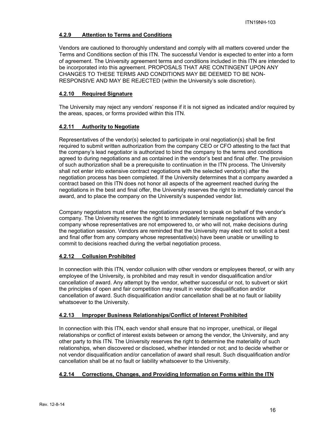# **4.2.9 Attention to Terms and Conditions**

Vendors are cautioned to thoroughly understand and comply with all matters covered under the Terms and Conditions section of this ITN. The successful Vendor is expected to enter into a form of agreement. The University agreement terms and conditions included in this ITN are intended to be incorporated into this agreement. PROPOSALS THAT ARE CONTINGENT UPON ANY CHANGES TO THESE TERMS AND CONDITIONS MAY BE DEEMED TO BE NON-RESPONSIVE AND MAY BE REJECTED (within the University's sole discretion).

# **4.2.10 Required Signature**

The University may reject any vendors' response if it is not signed as indicated and/or required by the areas, spaces, or forms provided within this ITN.

# **4.2.11 Authority to Negotiate**

Representatives of the vendor(s) selected to participate in oral negotiation(s) shall be first required to submit written authorization from the company CEO or CFO attesting to the fact that the company's lead negotiator is authorized to bind the company to the terms and conditions agreed to during negotiations and as contained in the vendor's best and final offer. The provision of such authorization shall be a prerequisite to continuation in the ITN process. The University shall not enter into extensive contract negotiations with the selected vendor(s) after the negotiation process has been completed. If the University determines that a company awarded a contract based on this ITN does not honor all aspects of the agreement reached during the negotiations in the best and final offer, the University reserves the right to immediately cancel the award, and to place the company on the University's suspended vendor list.

Company negotiators must enter the negotiations prepared to speak on behalf of the vendor's company. The University reserves the right to immediately terminate negotiations with any company whose representatives are not empowered to, or who will not, make decisions during the negotiation session. Vendors are reminded that the University may elect not to solicit a best and final offer from any company whose representative(s) have been unable or unwilling to commit to decisions reached during the verbal negotiation process.

# **4.2.12 Collusion Prohibited**

In connection with this ITN, vendor collusion with other vendors or employees thereof, or with any employee of the University, is prohibited and may result in vendor disqualification and/or cancellation of award. Any attempt by the vendor, whether successful or not, to subvert or skirt the principles of open and fair competition may result in vendor disqualification and/or cancellation of award. Such disqualification and/or cancellation shall be at no fault or liability whatsoever to the University.

# **4.2.13 Improper Business Relationships/Conflict of Interest Prohibited**

In connection with this ITN, each vendor shall ensure that no improper, unethical, or illegal relationships or conflict of interest exists between or among the vendor, the University, and any other party to this ITN. The University reserves the right to determine the materiality of such relationships, when discovered or disclosed, whether intended or not; and to decide whether or not vendor disqualification and/or cancellation of award shall result. Such disqualification and/or cancellation shall be at no fault or liability whatsoever to the University.

# **4.2.14 Corrections, Changes, and Providing Information on Forms within the ITN**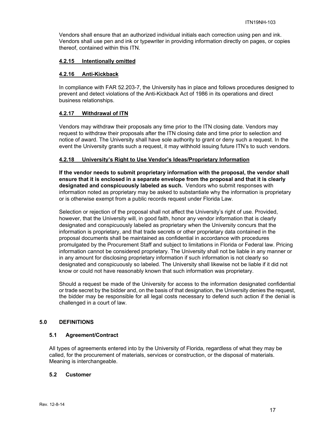Vendors shall ensure that an authorized individual initials each correction using pen and ink. Vendors shall use pen and ink or typewriter in providing information directly on pages, or copies thereof, contained within this ITN.

## **4.2.15 Intentionally omitted**

## **4.2.16 Anti-Kickback**

In compliance with FAR 52.203-7, the University has in place and follows procedures designed to prevent and detect violations of the Anti-Kickback Act of 1986 in its operations and direct business relationships.

## **4.2.17 Withdrawal of ITN**

Vendors may withdraw their proposals any time prior to the ITN closing date. Vendors may request to withdraw their proposals after the ITN closing date and time prior to selection and notice of award. The University shall have sole authority to grant or deny such a request. In the event the University grants such a request, it may withhold issuing future ITN's to such vendors.

## **4.2.18 University's Right to Use Vendor's Ideas/Proprietary Information**

**If the vendor needs to submit proprietary information with the proposal, the vendor shall ensure that it is enclosed in a separate envelope from the proposal and that it is clearly designated and conspicuously labeled as such.** Vendors who submit responses with information noted as proprietary may be asked to substantiate why the information is proprietary or is otherwise exempt from a public records request under Florida Law.

Selection or rejection of the proposal shall not affect the University's right of use. Provided, however, that the University will, in good faith, honor any vendor information that is clearly designated and conspicuously labeled as proprietary when the University concurs that the information is proprietary, and that trade secrets or other proprietary data contained in the proposal documents shall be maintained as confidential in accordance with procedures promulgated by the Procurement Staff and subject to limitations in Florida or Federal law. Pricing information cannot be considered proprietary. The University shall not be liable in any manner or in any amount for disclosing proprietary information if such information is not clearly so designated and conspicuously so labeled. The University shall likewise not be liable if it did not know or could not have reasonably known that such information was proprietary.

Should a request be made of the University for access to the information designated confidential or trade secret by the bidder and, on the basis of that designation, the University denies the request, the bidder may be responsible for all legal costs necessary to defend such action if the denial is challenged in a court of law.

# **5.0 DEFINITIONS**

#### **5.1 Agreement/Contract**

All types of agreements entered into by the University of Florida, regardless of what they may be called, for the procurement of materials, services or construction, or the disposal of materials. Meaning is interchangeable.

#### **5.2 Customer**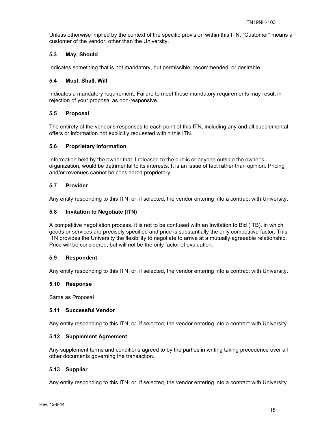Unless otherwise implied by the context of the specific provision within this ITN, "Customer" means a customer of the vendor, other than the University.

## **5.3 May, Should**

Indicates something that is not mandatory, but permissible, recommended, or desirable.

#### **5.4 Must, Shall, Will**

Indicates a mandatory requirement. Failure to meet these mandatory requirements may result in rejection of your proposal as non-responsive.

#### **5.5 Proposal**

The entirety of the vendor's responses to each point of this ITN, including any and all supplemental offers or information not explicitly requested within this ITN.

#### **5.6 Proprietary Information**

Information held by the owner that if released to the public or anyone outside the owner's organization, would be detrimental to its interests. It is an issue of fact rather than opinion. Pricing and/or revenues cannot be considered proprietary.

## **5.7 Provider**

Any entity responding to this ITN, or, if selected, the vendor entering into a contract with University.

## **5.8 Invitation to Negotiate (ITN)**

A competitive negotiation process. It is not to be confused with an Invitation to Bid (ITB), in which goods or services are precisely specified and price is substantially the only competitive factor. This ITN provides the University the flexibility to negotiate to arrive at a mutually agreeable relationship. Price will be considered, but will not be the only factor of evaluation.

#### **5.9 Respondent**

Any entity responding to this ITN, or, if selected, the vendor entering into a contract with University.

#### **5.10 Response**

Same as Proposal

#### **5.11 Successful Vendor**

Any entity responding to this ITN, or, if selected, the vendor entering into a contract with University.

#### **5.12 Supplement Agreement**

Any supplement terms and conditions agreed to by the parties in writing taking precedence over all other documents governing the transaction.

#### **5.13 Supplier**

Any entity responding to this ITN, or, if selected, the vendor entering into a contract with University.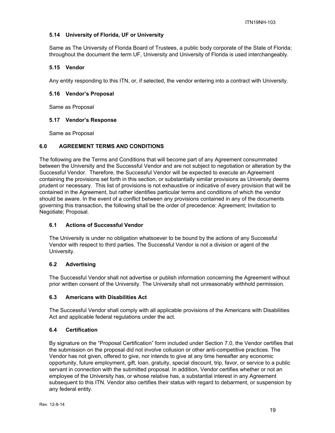# **5.14 University of Florida, UF or University**

Same as The University of Florida Board of Trustees, a public body corporate of the State of Florida; throughout the document the term UF, University and University of Florida is used interchangeably.

## **5.15 Vendor**

Any entity responding to this ITN, or, if selected, the vendor entering into a contract with University.

## **5.16 Vendor's Proposal**

Same as Proposal

## **5.17 Vendor's Response**

Same as Proposal

## **6.0 AGREEMENT TERMS AND CONDITIONS**

The following are the Terms and Conditions that will become part of any Agreement consummated between the University and the Successful Vendor and are not subject to negotiation or alteration by the Successful Vendor. Therefore, the Successful Vendor will be expected to execute an Agreement containing the provisions set forth in this section, or substantially similar provisions as University deems prudent or necessary. This list of provisions is not exhaustive or indicative of every provision that will be contained in the Agreement, but rather identifies particular terms and conditions of which the vendor should be aware. In the event of a conflict between any provisions contained in any of the documents governing this transaction, the following shall be the order of precedence: Agreement; Invitation to Negotiate; Proposal.

## **6.1 Actions of Successful Vendor**

The University is under no obligation whatsoever to be bound by the actions of any Successful Vendor with respect to third parties. The Successful Vendor is not a division or agent of the University.

# **6.2 Advertising**

The Successful Vendor shall not advertise or publish information concerning the Agreement without prior written consent of the University. The University shall not unreasonably withhold permission.

## **6.3 Americans with Disabilities Act**

The Successful Vendor shall comply with all applicable provisions of the Americans with Disabilities Act and applicable federal regulations under the act.

#### **6.4 Certification**

By signature on the "Proposal Certification" form included under Section 7.0, the Vendor certifies that the submission on the proposal did not involve collusion or other anti-competitive practices. The Vendor has not given, offered to give, nor intends to give at any time hereafter any economic opportunity, future employment, gift, loan, gratuity, special discount, trip, favor, or service to a public servant in connection with the submitted proposal. In addition, Vendor certifies whether or not an employee of the University has, or whose relative has, a substantial interest in any Agreement subsequent to this ITN. Vendor also certifies their status with regard to debarment, or suspension by any federal entity.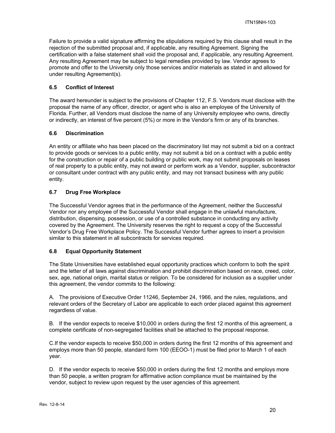Failure to provide a valid signature affirming the stipulations required by this clause shall result in the rejection of the submitted proposal and, if applicable, any resulting Agreement. Signing the certification with a false statement shall void the proposal and, if applicable, any resulting Agreement. Any resulting Agreement may be subject to legal remedies provided by law. Vendor agrees to promote and offer to the University only those services and/or materials as stated in and allowed for under resulting Agreement(s).

## **6.5 Conflict of Interest**

The award hereunder is subject to the provisions of Chapter 112, F.S. Vendors must disclose with the proposal the name of any officer, director, or agent who is also an employee of the University of Florida. Further, all Vendors must disclose the name of any University employee who owns, directly or indirectly, an interest of five percent (5%) or more in the Vendor's firm or any of its branches.

## **6.6 Discrimination**

An entity or affiliate who has been placed on the discriminatory list may not submit a bid on a contract to provide goods or services to a public entity, may not submit a bid on a contract with a public entity for the construction or repair of a public building or public work, may not submit proposals on leases of real property to a public entity, may not award or perform work as a Vendor, supplier, subcontractor or consultant under contract with any public entity, and may not transact business with any public entity.

# **6.7 Drug Free Workplace**

The Successful Vendor agrees that in the performance of the Agreement, neither the Successful Vendor nor any employee of the Successful Vendor shall engage in the unlawful manufacture, distribution, dispensing, possession, or use of a controlled substance in conducting any activity covered by the Agreement. The University reserves the right to request a copy of the Successful Vendor's Drug Free Workplace Policy. The Successful Vendor further agrees to insert a provision similar to this statement in all subcontracts for services required.

# **6.8 Equal Opportunity Statement**

The State Universities have established equal opportunity practices which conform to both the spirit and the letter of all laws against discrimination and prohibit discrimination based on race, creed, color, sex, age, national origin, marital status or religion. To be considered for inclusion as a supplier under this agreement, the vendor commits to the following:

A. The provisions of Executive Order 11246, September 24, 1966, and the rules, regulations, and relevant orders of the Secretary of Labor are applicable to each order placed against this agreement regardless of value.

B. If the vendor expects to receive \$10,000 in orders during the first 12 months of this agreement, a complete certificate of non-segregated facilities shall be attached to the proposal response.

C.If the vendor expects to receive \$50,000 in orders during the first 12 months of this agreement and employs more than 50 people, standard form 100 (EEOO-1) must be filed prior to March 1 of each year.

D. If the vendor expects to receive \$50,000 in orders during the first 12 months and employs more than 50 people, a written program for affirmative action compliance must be maintained by the vendor, subject to review upon request by the user agencies of this agreement.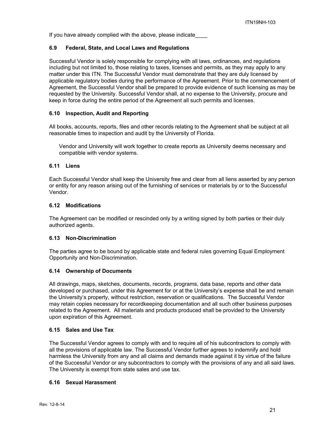If you have already complied with the above, please indicate

# **6.9 Federal, State, and Local Laws and Regulations**

Successful Vendor is solely responsible for complying with all laws, ordinances, and regulations including but not limited to, those relating to taxes, licenses and permits, as they may apply to any matter under this ITN. The Successful Vendor must demonstrate that they are duly licensed by applicable regulatory bodies during the performance of the Agreement. Prior to the commencement of Agreement, the Successful Vendor shall be prepared to provide evidence of such licensing as may be requested by the University. Successful Vendor shall, at no expense to the University, procure and keep in force during the entire period of the Agreement all such permits and licenses.

## **6.10 Inspection, Audit and Reporting**

All books, accounts, reports, files and other records relating to the Agreement shall be subject at all reasonable times to inspection and audit by the University of Florida.

Vendor and University will work together to create reports as University deems necessary and compatible with vendor systems.

## **6.11 Liens**

Each Successful Vendor shall keep the University free and clear from all liens asserted by any person or entity for any reason arising out of the furnishing of services or materials by or to the Successful Vendor.

## **6.12 Modifications**

The Agreement can be modified or rescinded only by a writing signed by both parties or their duly authorized agents.

#### **6.13 Non-Discrimination**

The parties agree to be bound by applicable state and federal rules governing Equal Employment Opportunity and Non-Discrimination.

#### **6.14 Ownership of Documents**

All drawings, maps, sketches, documents, records, programs, data base, reports and other data developed or purchased, under this Agreement for or at the University's expense shall be and remain the University's property, without restriction, reservation or qualifications. The Successful Vendor may retain copies necessary for recordkeeping documentation and all such other business purposes related to the Agreement. All materials and products produced shall be provided to the University upon expiration of this Agreement.

#### **6.15 Sales and Use Tax**

The Successful Vendor agrees to comply with and to require all of his subcontractors to comply with all the provisions of applicable law. The Successful Vendor further agrees to indemnify and hold harmless the University from any and all claims and demands made against it by virtue of the failure of the Successful Vendor or any subcontractors to comply with the provisions of any and all said laws. The University is exempt from state sales and use tax.

#### **6.16 Sexual Harassment**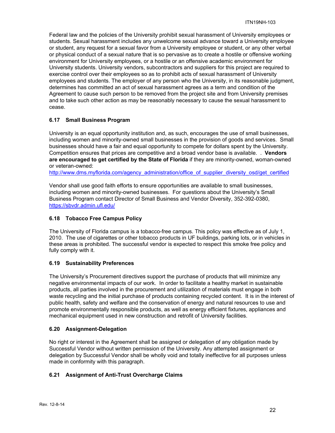Federal law and the policies of the University prohibit sexual harassment of University employees or students. Sexual harassment includes any unwelcome sexual advance toward a University employee or student, any request for a sexual favor from a University employee or student, or any other verbal or physical conduct of a sexual nature that is so pervasive as to create a hostile or offensive working environment for University employees, or a hostile or an offensive academic environment for University students. University vendors, subcontractors and suppliers for this project are required to exercise control over their employees so as to prohibit acts of sexual harassment of University employees and students. The employer of any person who the University, in its reasonable judgment, determines has committed an act of sexual harassment agrees as a term and condition of the Agreement to cause such person to be removed from the project site and from University premises and to take such other action as may be reasonably necessary to cause the sexual harassment to cease.

# **6.17 Small Business Program**

University is an equal opportunity institution and, as such, encourages the use of small businesses, including women and minority-owned small businesses in the provision of goods and services. Small businesses should have a fair and equal opportunity to compete for dollars spent by the University. Competition ensures that prices are competitive and a broad vendor base is available. . **Vendors are encouraged to get certified by the State of Florida** if they are minority-owned, woman-owned or veteran-owned:

http://www.dms.myflorida.com/agency\_administration/office\_of\_supplier\_diversity\_osd/get\_certified

Vendor shall use good faith efforts to ensure opportunities are available to small businesses, including women and minority-owned businesses. For questions about the University's Small Business Program contact Director of Small Business and Vendor Diversity, 352-392-0380, https://sbvdr.admin.ufl.edu/

## **6.18 Tobacco Free Campus Policy**

The University of Florida campus is a tobacco-free campus. This policy was effective as of July 1, 2010. The use of cigarettes or other tobacco products in UF buildings, parking lots, or in vehicles in these areas is prohibited. The successful vendor is expected to respect this smoke free policy and fully comply with it.

# **6.19 Sustainability Preferences**

The University's Procurement directives support the purchase of products that will minimize any negative environmental impacts of our work. In order to facilitate a healthy market in sustainable products, all parties involved in the procurement and utilization of materials must engage in both waste recycling and the initial purchase of products containing recycled content. It is in the interest of public health, safety and welfare and the conservation of energy and natural resources to use and promote environmentally responsible products, as well as energy efficient fixtures, appliances and mechanical equipment used in new construction and retrofit of University facilities.

# **6.20 Assignment-Delegation**

No right or interest in the Agreement shall be assigned or delegation of any obligation made by Successful Vendor without written permission of the University. Any attempted assignment or delegation by Successful Vendor shall be wholly void and totally ineffective for all purposes unless made in conformity with this paragraph.

# **6.21 Assignment of Anti-Trust Overcharge Claims**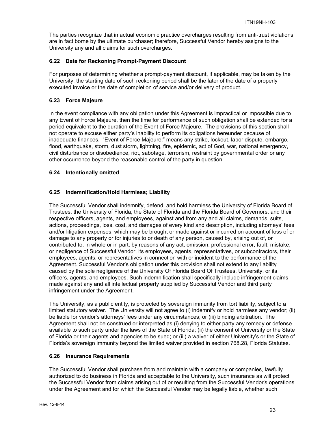The parties recognize that in actual economic practice overcharges resulting from anti-trust violations are in fact borne by the ultimate purchaser; therefore, Successful Vendor hereby assigns to the University any and all claims for such overcharges.

# **6.22 Date for Reckoning Prompt-Payment Discount**

For purposes of determining whether a prompt-payment discount, if applicable, may be taken by the University, the starting date of such reckoning period shall be the later of the date of a properly executed invoice or the date of completion of service and/or delivery of product.

# **6.23 Force Majeure**

In the event compliance with any obligation under this Agreement is impractical or impossible due to any Event of Force Majeure, then the time for performance of such obligation shall be extended for a period equivalent to the duration of the Event of Force Majeure. The provisions of this section shall not operate to excuse either party's inability to perform its obligations hereunder because of inadequate finances. "Event of Force Majeure:" means any strike, lockout, labor dispute, embargo, flood, earthquake, storm, dust storm, lightning, fire, epidemic, act of God, war, national emergency, civil disturbance or disobedience, riot, sabotage, terrorism, restraint by governmental order or any other occurrence beyond the reasonable control of the party in question.

# **6.24 Intentionally omitted**

# **6.25 Indemnification/Hold Harmless; Liability**

The Successful Vendor shall indemnify, defend, and hold harmless the University of Florida Board of Trustees, the University of Florida, the State of Florida and the Florida Board of Governors, and their respective officers, agents, and employees, against and from any and all claims, demands, suits, actions, proceedings, loss, cost, and damages of every kind and description, including attorneys' fees and/or litigation expenses, which may be brought or made against or incurred on account of loss of or damage to any property or for injuries to or death of any person, caused by, arising out of, or contributed to, in whole or in part, by reasons of any act, omission, professional error, fault, mistake, or negligence of Successful Vendor, its employees, agents, representatives, or subcontractors, their employees, agents, or representatives in connection with or incident to the performance of the Agreement. Successful Vendor's obligation under this provision shall not extend to any liability caused by the sole negligence of the University Of Florida Board Of Trustees, University, or its officers, agents, and employees. Such indemnification shall specifically include infringement claims made against any and all intellectual property supplied by Successful Vendor and third party infringement under the Agreement.

The University, as a public entity, is protected by sovereign immunity from tort liability, subject to a limited statutory waiver. The University will not agree to (i) indemnify or hold harmless any vendor; (ii) be liable for vendor's attorneys' fees under any circumstances; or (iii) binding arbitration. The Agreement shall not be construed or interpreted as (i) denying to either party any remedy or defense available to such party under the laws of the State of Florida; (ii) the consent of University or the State of Florida or their agents and agencies to be sued; or (iii) a waiver of either University's or the State of Florida's sovereign immunity beyond the limited waiver provided in section 768.28, Florida Statutes.

# **6.26 Insurance Requirements**

The Successful Vendor shall purchase from and maintain with a company or companies, lawfully authorized to do business in Florida and acceptable to the University, such insurance as will protect the Successful Vendor from claims arising out of or resulting from the Successful Vendor's operations under the Agreement and for which the Successful Vendor may be legally liable, whether such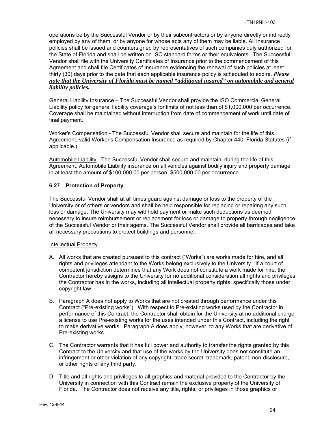operations be by the Successful Vendor or by their subcontractors or by anyone directly or indirectly employed by any of them, or by anyone for whose acts any of them may be liable. All insurance policies shall be issued and countersigned by representatives of such companies duly authorized for the State of Florida and shall be written on ISO standard forms or their equivalents. The Successful Vendor shall file with the University Certificates of Insurance prior to the commencement of this Agreement and shall file Certificates of Insurance evidencing the renewal of such policies at least thirty (30) days prior to the date that each applicable insurance policy is scheduled to expire. *Please note that the University of Florida must be named "additional insured" on automobile and general liability policies.*

General Liability Insurance – The Successful Vendor shall provide the ISO Commercial General Liability policy for general liability coverage's for limits of not less than of \$1,000,000 per occurrence. Coverage shall be maintained without interruption from date of commencement of work until date of final payment.

Worker's Compensation - The Successful Vendor shall secure and maintain for the life of this Agreement, valid Worker's Compensation Insurance as required by Chapter 440, Florida Statutes (if applicable.)

Automobile Liability - The Successful Vendor shall secure and maintain, during the life of this Agreement, Automobile Liability insurance on all vehicles against bodily injury and property damage in at least the amount of \$100,000.00 per person, \$500,000.00 per occurrence.

# **6.27 Protection of Property**

The Successful Vendor shall at all times guard against damage or loss to the property of the University or of others or vendors and shall be held responsible for replacing or repairing any such loss or damage. The University may withhold payment or make such deductions as deemed necessary to insure reimbursement or replacement for loss or damage to property through negligence of the Successful Vendor or their agents. The Successful Vendor shall provide all barricades and take all necessary precautions to protect buildings and personnel.

# Intellectual Property

- A. All works that are created pursuant to this contract ("Works") are works made for hire, and all rights and privileges attendant to the Works belong exclusively to the University. If a court of competent jurisdiction determines that any Work does not constitute a work made for hire, the Contractor hereby assigns to the University for no additional consideration all rights and privileges the Contractor has in the works, including all intellectual property rights, specifically those under copyright law.
- B. Paragraph A does not apply to Works that are not created through performance under this Contract ("Pre-existing works"). With respect to Pre-existing works used by the Contractor in performance of this Contract, the Contractor shall obtain for the University at no additional charge a license to use Pre-existing works for the uses intended under this Contract, including the right to make derivative works. Paragraph A does apply, however, to any Works that are derivative of Pre-existing works.
- C. The Contractor warrants that it has full power and authority to transfer the rights granted by this Contract to the University and that use of the works by the University does not constitute an infringement or other violation of any copyright, trade secret, trademark, patent, non-disclosure, or other rights of any third party.
- D. Title and all rights and privileges to all graphics and material provided to the Contractor by the University in connection with this Contract remain the exclusive property of the University of Florida. The Contractor does not receive any title, rights, or privileges in those graphics or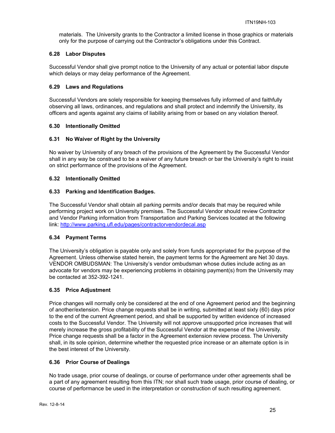materials. The University grants to the Contractor a limited license in those graphics or materials only for the purpose of carrying out the Contractor's obligations under this Contract.

## **6.28 Labor Disputes**

Successful Vendor shall give prompt notice to the University of any actual or potential labor dispute which delays or may delay performance of the Agreement.

## **6.29 Laws and Regulations**

Successful Vendors are solely responsible for keeping themselves fully informed of and faithfully observing all laws, ordinances, and regulations and shall protect and indemnify the University, its officers and agents against any claims of liability arising from or based on any violation thereof.

## **6.30 Intentionally Omitted**

## **6.31 No Waiver of Right by the University**

No waiver by University of any breach of the provisions of the Agreement by the Successful Vendor shall in any way be construed to be a waiver of any future breach or bar the University's right to insist on strict performance of the provisions of the Agreement.

## **6.32 Intentionally Omitted**

## **6.33 Parking and Identification Badges.**

The Successful Vendor shall obtain all parking permits and/or decals that may be required while performing project work on University premises. The Successful Vendor should review Contractor and Vendor Parking information from Transportation and Parking Services located at the following link: http://www.parking.ufl.edu/pages/contractorvendordecal.asp

#### **6.34 Payment Terms**

The University's obligation is payable only and solely from funds appropriated for the purpose of the Agreement. Unless otherwise stated herein, the payment terms for the Agreement are Net 30 days. VENDOR OMBUDSMAN: The University's vendor ombudsman whose duties include acting as an advocate for vendors may be experiencing problems in obtaining payment(s) from the University may be contacted at 352-392-1241.

# **6.35 Price Adjustment**

Price changes will normally only be considered at the end of one Agreement period and the beginning of another/extension. Price change requests shall be in writing, submitted at least sixty (60) days prior to the end of the current Agreement period, and shall be supported by written evidence of increased costs to the Successful Vendor. The University will not approve unsupported price increases that will merely increase the gross profitability of the Successful Vendor at the expense of the University. Price change requests shall be a factor in the Agreement extension review process. The University shall, in its sole opinion, determine whether the requested price increase or an alternate option is in the best interest of the University.

#### **6.36 Prior Course of Dealings**

No trade usage, prior course of dealings, or course of performance under other agreements shall be a part of any agreement resulting from this ITN; nor shall such trade usage, prior course of dealing, or course of performance be used in the interpretation or construction of such resulting agreement.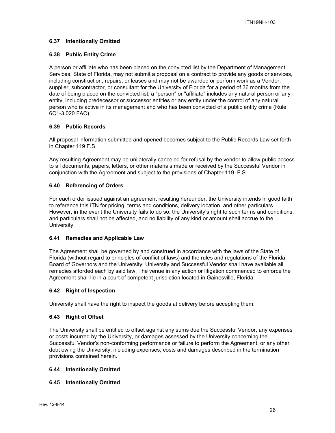## **6.37 Intentionally Omitted**

#### **6.38 Public Entity Crime**

A person or affiliate who has been placed on the convicted list by the Department of Management Services, State of Florida, may not submit a proposal on a contract to provide any goods or services, including construction, repairs, or leases and may not be awarded or perform work as a Vendor, supplier, subcontractor, or consultant for the University of Florida for a period of 36 months from the date of being placed on the convicted list, a "person" or "affiliate" includes any natural person or any entity, including predecessor or successor entities or any entity under the control of any natural person who is active in its management and who has been convicted of a public entity crime (Rule 6C1-3.020 FAC).

## **6.39 Public Records**

All proposal information submitted and opened becomes subject to the Public Records Law set forth in Chapter 119 F.S.

Any resulting Agreement may be unilaterally canceled for refusal by the vendor to allow public access to all documents, papers, letters, or other materials made or received by the Successful Vendor in conjunction with the Agreement and subject to the provisions of Chapter 119. F.S.

## **6.40 Referencing of Orders**

For each order issued against an agreement resulting hereunder, the University intends in good faith to reference this ITN for pricing, terms and conditions, delivery location, and other particulars. However, in the event the University fails to do so, the University's right to such terms and conditions, and particulars shall not be affected, and no liability of any kind or amount shall accrue to the University.

#### **6.41 Remedies and Applicable Law**

The Agreement shall be governed by and construed in accordance with the laws of the State of Florida (without regard to principles of conflict of laws) and the rules and regulations of the Florida Board of Governors and the University. University and Successful Vendor shall have available all remedies afforded each by said law. The venue in any action or litigation commenced to enforce the Agreement shall lie in a court of competent jurisdiction located in Gainesville, Florida.

#### **6.42 Right of Inspection**

University shall have the right to inspect the goods at delivery before accepting them.

# **6.43 Right of Offset**

The University shall be entitled to offset against any sums due the Successful Vendor, any expenses or costs incurred by the University, or damages assessed by the University concerning the Successful Vendor's non-conforming performance or failure to perform the Agreement, or any other debt owing the University, including expenses, costs and damages described in the termination provisions contained herein.

#### **6.44 Intentionally Omitted**

# **6.45 Intentionally Omitted**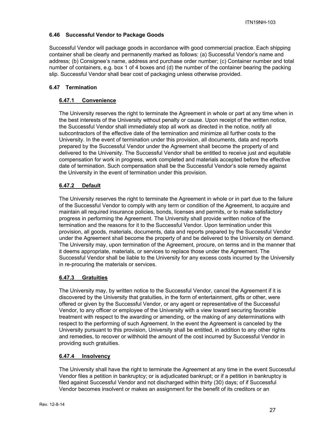# **6.46 Successful Vendor to Package Goods**

Successful Vendor will package goods in accordance with good commercial practice. Each shipping container shall be clearly and permanently marked as follows: (a) Successful Vendor's name and address; (b) Consignee's name, address and purchase order number; (c) Container number and total number of containers, e.g. box 1 of 4 boxes and (d) the number of the container bearing the packing slip. Successful Vendor shall bear cost of packaging unless otherwise provided.

# **6.47 Termination**

# **6.47.1 Convenience**

The University reserves the right to terminate the Agreement in whole or part at any time when in the best interests of the University without penalty or cause. Upon receipt of the written notice, the Successful Vendor shall immediately stop all work as directed in the notice, notify all subcontractors of the effective date of the termination and minimize all further costs to the University. In the event of termination under this provision, all documents, data and reports prepared by the Successful Vendor under the Agreement shall become the property of and delivered to the University. The Successful Vendor shall be entitled to receive just and equitable compensation for work in progress, work completed and materials accepted before the effective date of termination. Such compensation shall be the Successful Vendor's sole remedy against the University in the event of termination under this provision.

# **6.47.2 Default**

The University reserves the right to terminate the Agreement in whole or in part due to the failure of the Successful Vendor to comply with any term or condition of the Agreement, to acquire and maintain all required insurance policies, bonds, licenses and permits, or to make satisfactory progress in performing the Agreement. The University shall provide written notice of the termination and the reasons for it to the Successful Vendor. Upon termination under this provision, all goods, materials, documents, data and reports prepared by the Successful Vendor under the Agreement shall become the property of and be delivered to the University on demand. The University may, upon termination of the Agreement, procure, on terms and in the manner that it deems appropriate, materials, or services to replace those under the Agreement. The Successful Vendor shall be liable to the University for any excess costs incurred by the University in re-procuring the materials or services.

# **6.47.3 Gratuities**

The University may, by written notice to the Successful Vendor, cancel the Agreement if it is discovered by the University that gratuities, in the form of entertainment, gifts or other, were offered or given by the Successful Vendor, or any agent or representative of the Successful Vendor, to any officer or employee of the University with a view toward securing favorable treatment with respect to the awarding or amending, or the making of any determinations with respect to the performing of such Agreement. In the event the Agreement is canceled by the University pursuant to this provision, University shall be entitled, in addition to any other rights and remedies, to recover or withhold the amount of the cost incurred by Successful Vendor in providing such gratuities.

# **6.47.4 Insolvency**

The University shall have the right to terminate the Agreement at any time in the event Successful Vendor files a petition in bankruptcy; or is adjudicated bankrupt; or if a petition in bankruptcy is filed against Successful Vendor and not discharged within thirty (30) days; of if Successful Vendor becomes insolvent or makes an assignment for the benefit of its creditors or an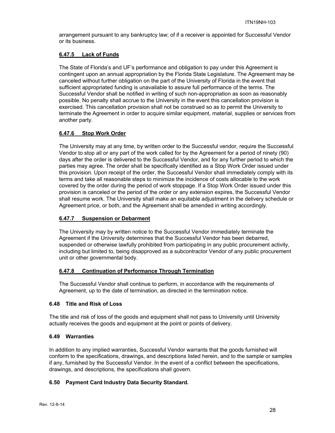arrangement pursuant to any bankruptcy law; of if a receiver is appointed for Successful Vendor or its business.

## **6.47.5 Lack of Funds**

The State of Florida's and UF's performance and obligation to pay under this Agreement is contingent upon an annual appropriation by the Florida State Legislature. The Agreement may be canceled without further obligation on the part of the University of Florida in the event that sufficient appropriated funding is unavailable to assure full performance of the terms. The Successful Vendor shall be notified in writing of such non-appropriation as soon as reasonably possible. No penalty shall accrue to the University in the event this cancellation provision is exercised. This cancellation provision shall not be construed so as to permit the University to terminate the Agreement in order to acquire similar equipment, material, supplies or services from another party.

# **6.47.6 Stop Work Order**

The University may at any time, by written order to the Successful vendor, require the Successful Vendor to stop all or any part of the work called for by the Agreement for a period of ninety (90) days after the order is delivered to the Successful Vendor, and for any further period to which the parties may agree. The order shall be specifically identified as a Stop Work Order issued under this provision. Upon receipt of the order, the Successful Vendor shall immediately comply with its terms and take all reasonable steps to minimize the incidence of costs allocable to the work covered by the order during the period of work stoppage. If a Stop Work Order issued under this provision is canceled or the period of the order or any extension expires, the Successful Vendor shall resume work. The University shall make an equitable adjustment in the delivery schedule or Agreement price, or both, and the Agreement shall be amended in writing accordingly.

## **6.47.7 Suspension or Debarment**

The University may by written notice to the Successful Vendor immediately terminate the Agreement if the University determines that the Successful Vendor has been debarred, suspended or otherwise lawfully prohibited from participating in any public procurement activity, including but limited to, being disapproved as a subcontractor Vendor of any public procurement unit or other governmental body.

#### **6.47.8 Continuation of Performance Through Termination**

The Successful Vendor shall continue to perform, in accordance with the requirements of Agreement, up to the date of termination, as directed in the termination notice.

#### **6.48 Title and Risk of Loss**

The title and risk of loss of the goods and equipment shall not pass to University until University actually receives the goods and equipment at the point or points of delivery.

## **6.49 Warranties**

In addition to any implied warranties, Successful Vendor warrants that the goods furnished will conform to the specifications, drawings, and descriptions listed herein, and to the sample or samples if any, furnished by the Successful Vendor. In the event of a conflict between the specifications, drawings, and descriptions, the specifications shall govern.

# **6.50 Payment Card Industry Data Security Standard.**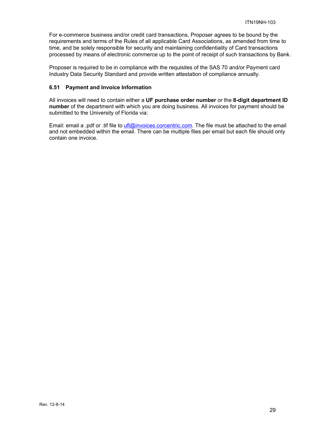For e-commerce business and/or credit card transactions, Proposer agrees to be bound by the requirements and terms of the Rules of all applicable Card Associations, as amended from time to time, and be solely responsible for security and maintaining confidentiality of Card transactions processed by means of electronic commerce up to the point of receipt of such transactions by Bank.

Proposer is required to be in compliance with the requisites of the SAS 70 and/or Payment card Industry Data Security Standard and provide written attestation of compliance annually.

## **6.51 Payment and Invoice Information**

All invoices will need to contain either a **UF purchase order number** or the **8-digit department ID number** of the department with which you are doing business. All invoices for payment should be submitted to the University of Florida via:

Email: email a .pdf or .tif file to ufl@invoices.corcentric.com. The file must be attached to the email and not embedded within the email. There can be multiple files per email but each file should only contain one invoice.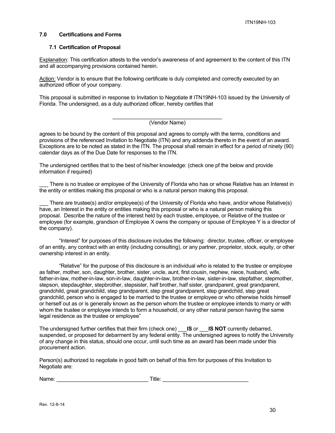## **7.0 Certifications and Forms**

#### **7.1 Certification of Proposal**

Explanation: This certification attests to the vendor's awareness of and agreement to the content of this ITN and all accompanying provisions contained herein.

Action: Vendor is to ensure that the following certificate is duly completed and correctly executed by an authorized officer of your company.

This proposal is submitted in response to Invitation to Negotiate # ITN19NH-103 issued by the University of Florida. The undersigned, as a duly authorized officer, hereby certifies that

#### \_\_\_\_\_\_\_\_\_\_\_\_\_\_\_\_\_\_\_\_\_\_\_\_\_\_\_\_\_\_\_\_\_\_\_\_\_ (Vendor Name)

agrees to be bound by the content of this proposal and agrees to comply with the terms, conditions and provisions of the referenced Invitation to Negotiate (ITN) and any addenda thereto in the event of an award. Exceptions are to be noted as stated in the ITN. The proposal shall remain in effect for a period of ninety (90) calendar days as of the Due Date for responses to the ITN.

The undersigned certifies that to the best of his/her knowledge: (check one pf the below and provide information if required)

There is no trustee or employee of the University of Florida who has or whose Relative has an Interest in the entity or entities making this proposal or who is a natural person making this proposal.

There are trustee(s) and/or employee(s) of the University of Florida who have, and/or whose Relative(s) have, an Interest in the entity or entities making this proposal or who is a natural person making this proposal. Describe the nature of the interest held by each trustee, employee, or Relative of the trustee or employee (for example, grandson of Employee X owns the company or spouse of Employee Y is a director of the company).

"Interest" for purposes of this disclosure includes the following: director, trustee, officer, or employee of an entity, any contract with an entity (including consulting), or any partner, proprietor, stock, equity, or other ownership interest in an entity.

"Relative" for the purpose of this disclosure is an individual who is related to the trustee or employee as father, mother, son, daughter, brother, sister, uncle, aunt, first cousin, nephew, niece, husband, wife, father-in-law, mother-in-law, son-in-law, daughter-in-law, brother-in-law, sister-in-law, stepfather, stepmother, stepson, stepdaughter, stepbrother, stepsister, half brother, half sister, grandparent, great grandparent, grandchild, great grandchild, step grandparent, step great grandparent, step grandchild, step great grandchild, person who is engaged to be married to the trustee or employee or who otherwise holds himself or herself out as or is generally known as the person whom the trustee or employee intends to marry or with whom the trustee or employee intends to form a household, or any other natural person having the same legal residence as the trustee or employee"

The undersigned further certifies that their firm (check one) \_\_\_**IS** *or* \_\_\_**IS NOT** currently debarred, suspended, or proposed for debarment by any federal entity. The undersigned agrees to notify the University of any change in this status, should one occur, until such time as an award has been made under this procurement action.

Person(s) authorized to negotiate in good faith on behalf of this firm for purposes of this Invitation to Negotiate are:

| Name: | ⊺itle: |  |
|-------|--------|--|
|       |        |  |